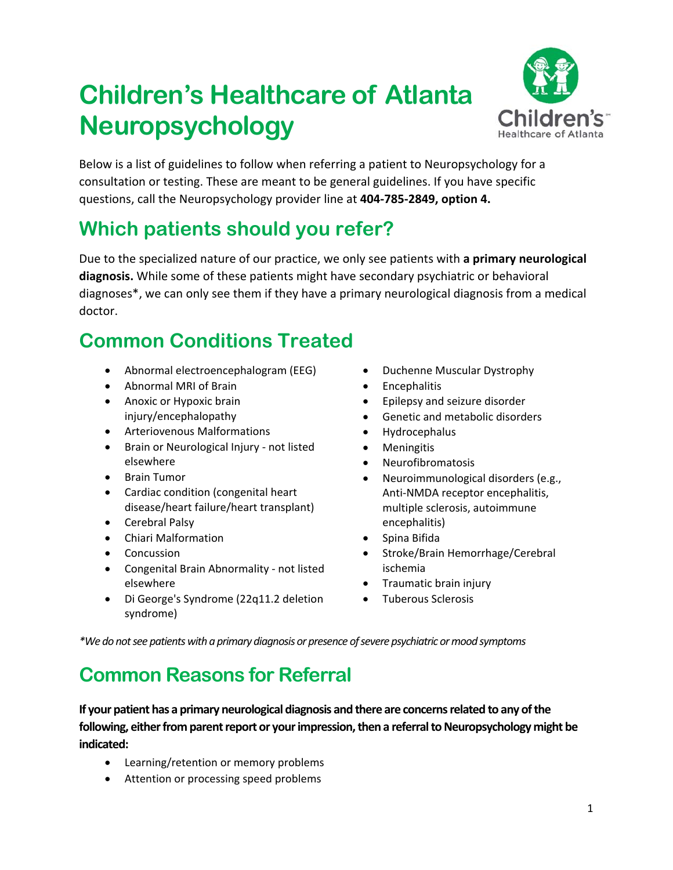# **Children's Healthcare of Atlanta Neuropsychology**



Below is a list of guidelines to follow when referring a patient to Neuropsychology for a consultation or testing. These are meant to be general guidelines. If you have specific questions, call the Neuropsychology provider line at **404‐785‐2849, option 4.** 

## **Which patients should you refer?**

Due to the specialized nature of our practice, we only see patients with **a primary neurological diagnosis.** While some of these patients might have secondary psychiatric or behavioral diagnoses\*, we can only see them if they have a primary neurological diagnosis from a medical doctor.

## **Common Conditions Treated**

- Abnormal electroencephalogram (EEG)
- Abnormal MRI of Brain
- Anoxic or Hypoxic brain injury/encephalopathy
- Arteriovenous Malformations
- Brain or Neurological Injury not listed elsewhere
- Brain Tumor
- Cardiac condition (congenital heart disease/heart failure/heart transplant)
- Cerebral Palsy
- Chiari Malformation
- Concussion
- Congenital Brain Abnormality not listed elsewhere
- Di George's Syndrome (22q11.2 deletion syndrome)
- Duchenne Muscular Dystrophy
- Encephalitis
- Epilepsy and seizure disorder
- Genetic and metabolic disorders
- Hydrocephalus
- Meningitis
- Neurofibromatosis
- Neuroimmunological disorders (e.g., Anti‐NMDA receptor encephalitis, multiple sclerosis, autoimmune encephalitis)
- Spina Bifida
- Stroke/Brain Hemorrhage/Cerebral ischemia
- Traumatic brain injury
- Tuberous Sclerosis

*\*We do not see patients with a primary diagnosis or presence of severe psychiatric or mood symptoms* 

#### **Common Reasons for Referral**

**If your patient has a primary neurological diagnosis and there are concerns related to any of the following, either from parent report or your impression, then a referral to Neuropsychology might be indicated:** 

- Learning/retention or memory problems
- Attention or processing speed problems